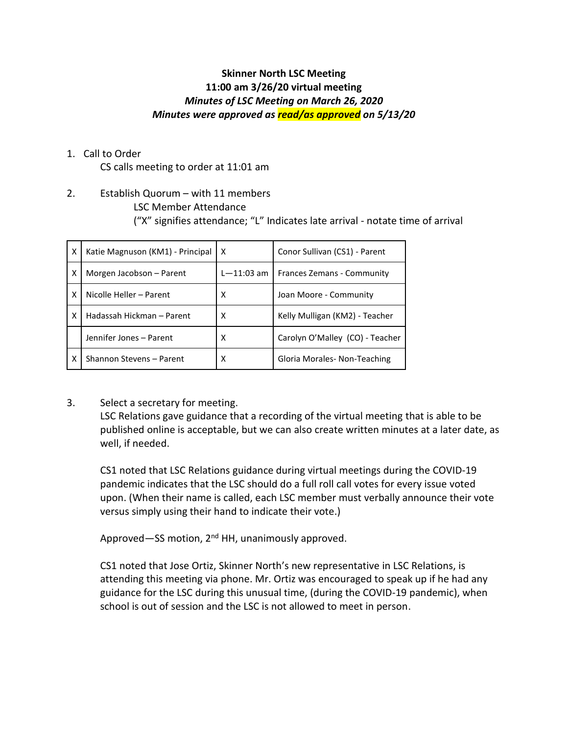# **Skinner North LSC Meeting 11:00 am 3/26/20 virtual meeting** *Minutes of LSC Meeting on March 26, 2020 Minutes were approved as read/as approved on 5/13/20*

1. Call to Order

CS calls meeting to order at 11:01 am

2. Establish Quorum – with 11 members LSC Member Attendance ("X" signifies attendance; "L" Indicates late arrival - notate time of arrival

| X | Katie Magnuson (KM1) - Principal | x              | Conor Sullivan (CS1) - Parent   |
|---|----------------------------------|----------------|---------------------------------|
| X | Morgen Jacobson - Parent         | $L - 11:03$ am | Frances Zemans - Community      |
| X | Nicolle Heller - Parent          | x              | Joan Moore - Community          |
| x | Hadassah Hickman - Parent        | x              | Kelly Mulligan (KM2) - Teacher  |
|   | Jennifer Jones - Parent          | x              | Carolyn O'Malley (CO) - Teacher |
| X | Shannon Stevens - Parent         | x              | Gloria Morales- Non-Teaching    |

3. Select a secretary for meeting.

LSC Relations gave guidance that a recording of the virtual meeting that is able to be published online is acceptable, but we can also create written minutes at a later date, as well, if needed.

CS1 noted that LSC Relations guidance during virtual meetings during the COVID-19 pandemic indicates that the LSC should do a full roll call votes for every issue voted upon. (When their name is called, each LSC member must verbally announce their vote versus simply using their hand to indicate their vote.)

Approved—SS motion, 2<sup>nd</sup> HH, unanimously approved.

CS1 noted that Jose Ortiz, Skinner North's new representative in LSC Relations, is attending this meeting via phone. Mr. Ortiz was encouraged to speak up if he had any guidance for the LSC during this unusual time, (during the COVID-19 pandemic), when school is out of session and the LSC is not allowed to meet in person.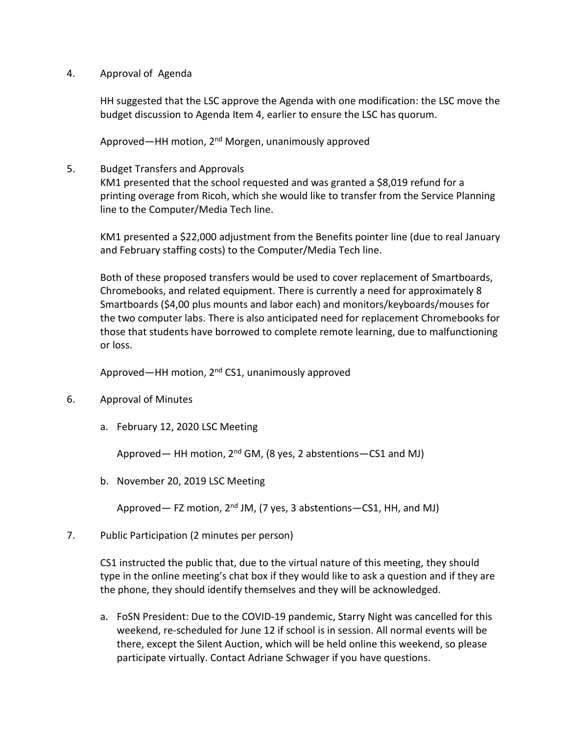#### 4. Approval of Agenda

HH suggested that the LSC approve the Agenda with one modification: the LSC move the budget discussion to Agenda Item 4, earlier to ensure the LSC has quorum.

Approved—HH motion, 2<sup>nd</sup> Morgen, unanimously approved

5. Budget Transfers and Approvals

KM1 presented that the school requested and was granted a \$8,019 refund for a printing overage from Ricoh, which she would like to transfer from the Service Planning line to the Computer/Media Tech line.

KM1 presented a \$22,000 adjustment from the Benefits pointer line (due to real January and February staffing costs) to the Computer/Media Tech line.

Both of these proposed transfers would be used to cover replacement of Smartboards, Chromebooks, and related equipment. There is currently a need for approximately 8 Smartboards (\$4,00 plus mounts and labor each) and monitors/keyboards/mouses for the two computer labs. There is also anticipated need for replacement Chromebooks for those that students have borrowed to complete remote learning, due to malfunctioning or loss.

Approved—HH motion, 2<sup>nd</sup> CS1, unanimously approved

- 6. Approval of Minutes
	- a. February 12, 2020 LSC Meeting

Approved— HH motion,  $2^{nd}$  GM, (8 yes, 2 abstentions - CS1 and MJ)

b. November 20, 2019 LSC Meeting

Approved— FZ motion, 2<sup>nd</sup> JM, (7 yes, 3 abstentions—CS1, HH, and MJ)

7. Public Participation (2 minutes per person)

CS1 instructed the public that, due to the virtual nature of this meeting, they should type in the online meeting's chat box if they would like to ask a question and if they are the phone, they should identify themselves and they will be acknowledged.

a. FoSN President: Due to the COVID-19 pandemic, Starry Night was cancelled for this weekend, re-scheduled for June 12 if school is in session. All normal events will be there, except the Silent Auction, which will be held online this weekend, so please participate virtually. Contact Adriane Schwager if you have questions.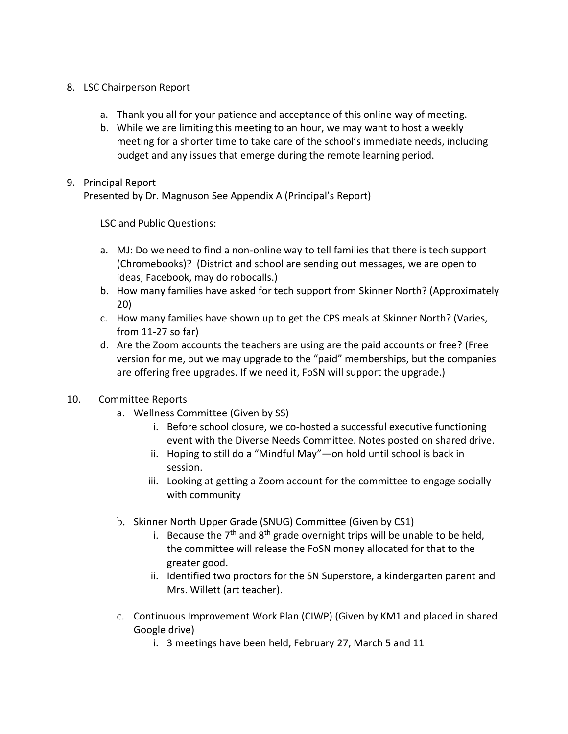#### 8. LSC Chairperson Report

- a. Thank you all for your patience and acceptance of this online way of meeting.
- b. While we are limiting this meeting to an hour, we may want to host a weekly meeting for a shorter time to take care of the school's immediate needs, including budget and any issues that emerge during the remote learning period.

## 9. Principal Report

Presented by Dr. Magnuson See Appendix A (Principal's Report)

LSC and Public Questions:

- a. MJ: Do we need to find a non-online way to tell families that there is tech support (Chromebooks)? (District and school are sending out messages, we are open to ideas, Facebook, may do robocalls.)
- b. How many families have asked for tech support from Skinner North? (Approximately 20)
- c. How many families have shown up to get the CPS meals at Skinner North? (Varies, from 11-27 so far)
- d. Are the Zoom accounts the teachers are using are the paid accounts or free? (Free version for me, but we may upgrade to the "paid" memberships, but the companies are offering free upgrades. If we need it, FoSN will support the upgrade.)

## 10. Committee Reports

- a. Wellness Committee (Given by SS)
	- i. Before school closure, we co-hosted a successful executive functioning event with the Diverse Needs Committee. Notes posted on shared drive.
	- ii. Hoping to still do a "Mindful May"—on hold until school is back in session.
	- iii. Looking at getting a Zoom account for the committee to engage socially with community
- b. Skinner North Upper Grade (SNUG) Committee (Given by CS1)
	- i. Because the  $7<sup>th</sup>$  and  $8<sup>th</sup>$  grade overnight trips will be unable to be held, the committee will release the FoSN money allocated for that to the greater good.
	- ii. Identified two proctors for the SN Superstore, a kindergarten parent and Mrs. Willett (art teacher).
- c. Continuous Improvement Work Plan (CIWP) (Given by KM1 and placed in shared Google drive)
	- i. 3 meetings have been held, February 27, March 5 and 11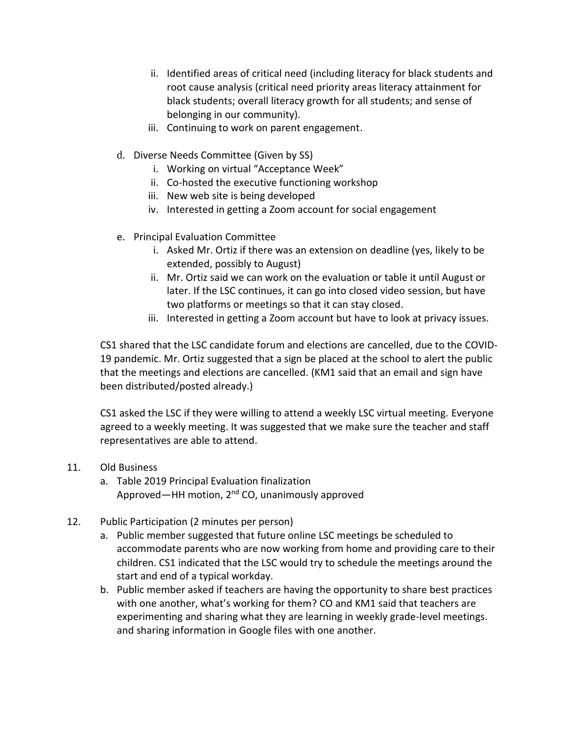- ii. Identified areas of critical need (including literacy for black students and root cause analysis (critical need priority areas literacy attainment for black students; overall literacy growth for all students; and sense of belonging in our community).
- iii. Continuing to work on parent engagement.
- d. Diverse Needs Committee (Given by SS)
	- i. Working on virtual "Acceptance Week"
	- ii. Co-hosted the executive functioning workshop
	- iii. New web site is being developed
	- iv. Interested in getting a Zoom account for social engagement
- e. Principal Evaluation Committee
	- i. Asked Mr. Ortiz if there was an extension on deadline (yes, likely to be extended, possibly to August)
	- ii. Mr. Ortiz said we can work on the evaluation or table it until August or later. If the LSC continues, it can go into closed video session, but have two platforms or meetings so that it can stay closed.
	- iii. Interested in getting a Zoom account but have to look at privacy issues.

CS1 shared that the LSC candidate forum and elections are cancelled, due to the COVID-19 pandemic. Mr. Ortiz suggested that a sign be placed at the school to alert the public that the meetings and elections are cancelled. (KM1 said that an email and sign have been distributed/posted already.)

CS1 asked the LSC if they were willing to attend a weekly LSC virtual meeting. Everyone agreed to a weekly meeting. It was suggested that we make sure the teacher and staff representatives are able to attend.

- 11. Old Business
	- a. Table 2019 Principal Evaluation finalization Approved—HH motion, 2<sup>nd</sup> CO, unanimously approved
- 12. Public Participation (2 minutes per person)
	- a. Public member suggested that future online LSC meetings be scheduled to accommodate parents who are now working from home and providing care to their children. CS1 indicated that the LSC would try to schedule the meetings around the start and end of a typical workday.
	- b. Public member asked if teachers are having the opportunity to share best practices with one another, what's working for them? CO and KM1 said that teachers are experimenting and sharing what they are learning in weekly grade-level meetings. and sharing information in Google files with one another.